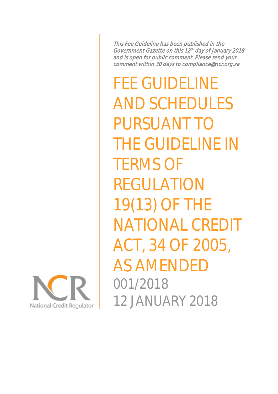This Fee Guideline has been published in the Government Gazette on this 12 th day of January 2018 and is open for public comment. Please send your comment within 30 days to compliance@ncr.org.za

FEE GUIDELINE AND SCHEDULES PURSUANT TO THE GUIDELINE IN TERMS OF REGULATION 19(13) OF THE NATIONAL CREDIT ACT, 34 OF 2005, AS AMENDE 001/2018 12 JANUARY 2018

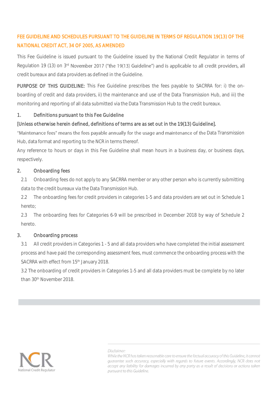# FEE GUIDELINE AND SCHEDULES PURSUANT TO THE GUIDELINE IN TERMS OF REGULATION 19(13) OF THE NATIONAL CREDIT ACT, 34 OF 2005, AS AMENDED

This Fee Guideline is issued pursuant to the Guideline issued by the National Credit Regulator in terms of Regulation 19 (13) on  $3<sup>rd</sup>$  November 2017 ("the 19(13) Guideline") and is applicable to all credit providers, all credit bureaux and data providers as defined in the Guideline.

PURPOSE OF THIS GUIDELINE: This Fee Guideline prescribes the fees payable to SACRRA for: i) the onboarding of credit and data providers, ii) the maintenance and use of the Data Transmission Hub, and iii) the monitoring and reporting of all data submitted via the Data Transmission Hub to the credit bureaux.

# 1. Definitions pursuant to this Fee Guideline

# [Unless otherwise herein defined, definitions of terms are as set out in the 19(13) Guideline].

"Maintenance fees" means the fees payable annually for the usage and maintenance of the Data Transmission Hub, data format and reporting to the NCR in terms thereof.

Any reference to hours or days in this Fee Guideline shall mean hours in a business day, or business days, respectively.

### 2. Onboarding fees

2.1 Onboarding fees do not apply to any SACRRA member or any other person who is currently submitting data to the credit bureaux via the Data Transmission Hub.

2.2 The onboarding fees for credit providers in categories 1-5 and data providers are set out in Schedule 1 hereto;

2.3 The onboarding fees for Categories 6-9 will be prescribed in December 2018 by way of Schedule 2 hereto.

### 3. Onboarding process

3.1 All credit providers in Categories 1 - 5 and all data providers who have completed the initial assessment process and have paid the corresponding assessment fees, must commence the onboarding process with the SACRRA with effect from 15<sup>th</sup> January 2018.

3.2 The onboarding of credit providers in Categories 1-5 and all data providers must be complete by no later than 30th November 2018.



Disclaimer:

While the NCR has taken reasonable care to ensure the factual accuracy of this Guideline, it cannot guarantee such accuracy, especially with regards to future events. Accordingly, NCR does not accept any liability for damages incurred by any party as a result of decisions or actions taken pursuant to this Guideline.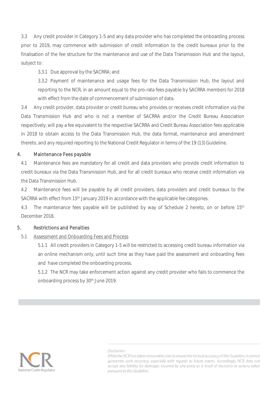3.3 Any credit provider in Category 1-5 and any data provider who has completed the onboarding process prior to 2019, may commence with submission of credit information to the credit bureaux prior to the finalisation of the fee structure for the maintenance and use of the Data Transmission Hub and the layout, subject to:

# 3.3.1 Due approval by the SACRRA; and

3.3.2 Payment of maintenance and usage fees for the Data Transmission Hub, the layout and reporting to the NCR, in an amount equal to the pro-rata fees payable by SACRRA members for 2018 with effect from the date of commencement of submission of data.

3.4 Any credit provider, data provider or credit bureau who provides or receives credit information via the Data Transmission Hub and who is not a member of SACRRA and/or the Credit Bureau Association respectively, will pay a fee equivalent to the respective SACRRA and Credit Bureau Association fees applicable in 2018 to obtain access to the Data Transmission Hub, the data format, maintenance and amendment thereto, and any required reporting to the National Credit Regulator in terms of the 19 (13) Guideline.

# 4. Maintenance Fees payable

4.1 Maintenance fees are mandatory for all credit and data providers who provide credit information to credit bureaux via the Data Transmission Hub, and for all credit bureaux who receive credit information via the Data Transmission Hub.

4.2 Maintenance fees will be payable by all credit providers, data providers and credit bureaux to the SACRRA with effect from 15th January 2019 in accordance with the applicable fee categories.

4.3 The maintenance fees payable will be published by way of Schedule 2 hereto, on or before 15<sup>th</sup> December 2018.

### 5. Restrictions and Penalties

### 5.1 Assessment and Onboarding Fees and Process

5.1.1 All credit providers in Category 1-5 will be restricted to accessing credit bureau information via an online mechanism only, until such time as they have paid the assessment and onboarding fees and have completed the onboarding process.

5.1.2 The NCR may take enforcement action against any credit provider who fails to commence the onboarding process by 30th June 2019.



#### Disclaimer:

While the NCR has taken reasonable care to ensure the factual accuracy of this Guideline, it cannot guarantee such accuracy, especially with regards to future events. Accordingly, NCR does not accept any liability for damages incurred by any party as a result of decisions or actions taken pursuant to this Guideline.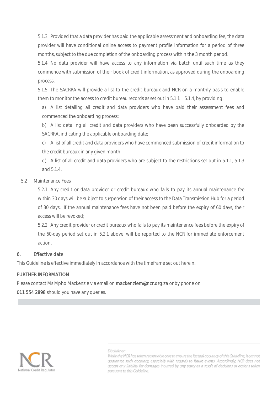5.1.3 Provided that a data provider has paid the applicable assessment and onboarding fee, the data provider will have conditional online access to payment profile information for a period of three months, subject to the due completion of the onboarding process within the 3 month period.

5.1.4 No data provider will have access to any information via batch until such time as they commence with submission of their book of credit information, as approved during the onboarding process.

5.1.5 The SACRRA will provide a list to the credit bureaux and NCR on a monthly basis to enable them to monitor the access to credit bureau records as set out in  $5.1.1 - 5.1.4$ , by providing:

a) A list detailing all credit and data providers who have paid their assessment fees and commenced the onboarding process;

b) A list detailing all credit and data providers who have been successfully onboarded by the SACRRA, indicating the applicable onboarding date;

c) A list of all credit and data providers who have commenced submission of credit information to the credit bureaux in any given month

d) A list of all credit and data providers who are subject to the restrictions set out in 5.1.1, 5.1.3 and 5.1.4.

# 5.2 Maintenance Fees

5.2.1 Any credit or data provider or credit bureaux who fails to pay its annual maintenance fee within 30 days will be subject to suspension of their access to the Data Transmission Hub for a period of 30 days. If the annual maintenance fees have not been paid before the expiry of 60 days, their access will be revoked;

5.2.2 Any credit provider or credit bureaux who fails to pay its maintenance fees before the expiry of the 60-day period set out in 5.2.1 above, will be reported to the NCR for immediate enforcement action.

# 6. Effective date

This Guideline is effective immediately in accordance with the timeframe set out herein.

# FURTHER INFORMATION

Please contact Ms Mpho Mackenzie via email on mackenziem@ncr.org.za or by phone on

011 554 2898 should you have any queries.



#### Disclaimer:

While the NCR has taken reasonable care to ensure the factual accuracy of this Guideline, it cannot guarantee such accuracy, especially with regards to future events. Accordingly, NCR does not accept any liability for damages incurred by any party as a result of decisions or actions taken pursuant to this Guideline.